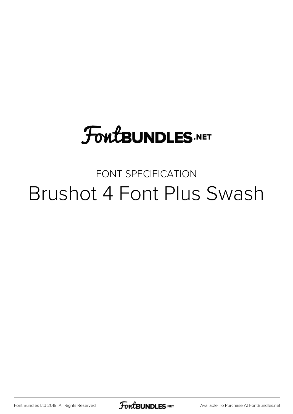# **FoutBUNDLES.NET**

#### FONT SPECIFICATION Brushot 4 Font Plus Swash

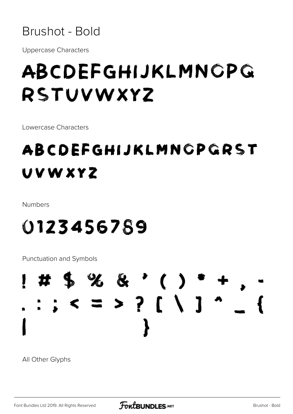

**Uppercase Characters** 

### ABCDEFGHIJKLMNOPG **RSTUVWXYZ**

Lowercase Characters

#### ABCDEFGHIJKLMNGPGRST UVWXYZ

Numbers

#### 0123456789

Punctuation and Symbols

# $9.968$  ()  $\Rightarrow ? \restriction \setminus \rbrace$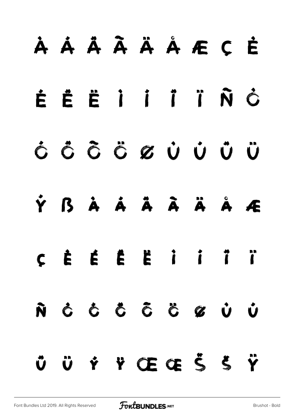## **À Á Â Ã Ä Å Æ Ç È**

# **É Ê Ë Ì Í Î Ï Ñ Ò**

**Ó Ô Õ Ö Ø Ù Ú Û Ü**

#### **Ý ß à á â ã ä å æ**

**ç è é ê ë ì í î ï**

**ñ ò ó ô õ ö ø ù ú**

## **û ü ý ÿ Œ œ Š š Ÿ**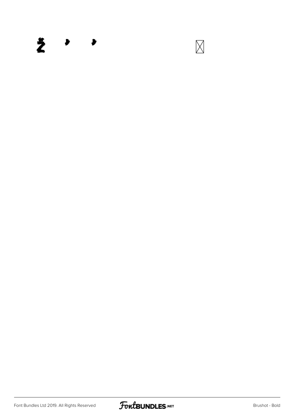#### $\ddot{z}$  , ,



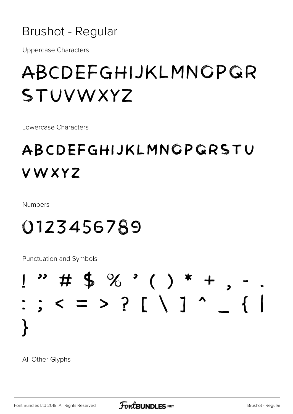**Brushot - Regular** 

**Uppercase Characters** 

#### ABCDEFGHIJKLMNOPQR STUVWXYZ

Lowercase Characters

#### ABCDEFGHIJKLMNGPGRSTU VWXYZ

**Numbers** 

#### 0123456789

Punctuation and Symbols

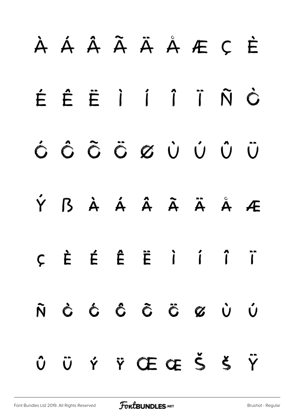# À Á Â Ã Ä Å Æ Ç È É Ê Ë Ì Í Î Ï Ñ Ċ Ó Ô Õ Ö Ø Ù Ú Û Ü Ý ß à á â ã ä å æ ç è é ê ë ì í î ï ñ ò ó ô õ ö ø ù ú û ü ý ÿ Œ œ Š š Ÿ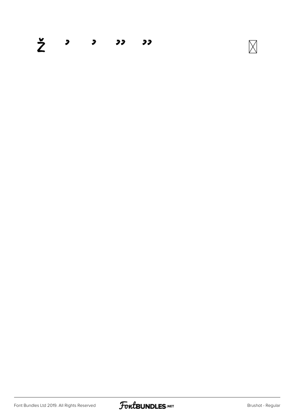$\sum_{i=1}^{N}$  ,  $\sum_{i=1}^{N}$  ,  $\sum_{i=1}^{N}$ 



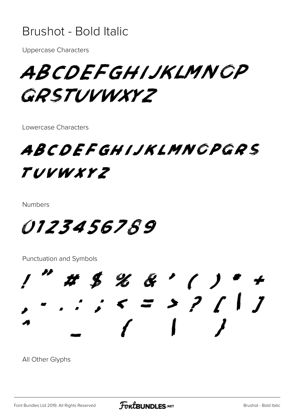#### Brushot - Bold Italic

**Uppercase Characters** 

ABCDEFGHIJKLMNOP **GRSTUVWXYZ** 

Lowercase Characters

#### ABCDEFGHIJKLMNGPGRS TUVWXYZ

**Numbers** 

*0123456789* 

Punctuation and Symbols

 $77528'$  ( )  $^*$  +  $\therefore$  ; < = > ? [ | ]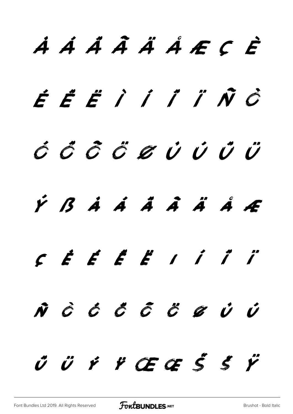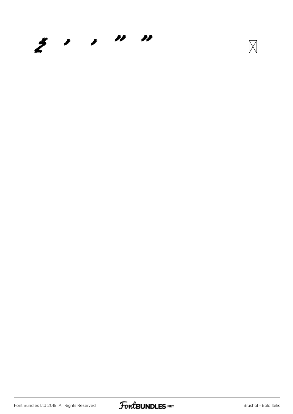



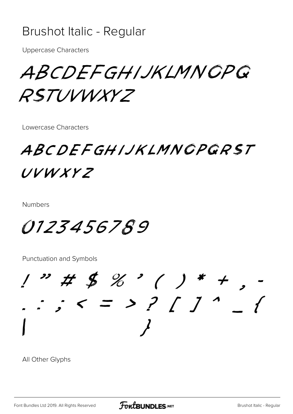#### **Brushot Italic - Regular**

**Uppercase Characters** 

ABCDEFGHIJKLMNOPG **RSTUVWXYZ** 

Lowercase Characters

ABCDEFGHIJKLMNOPGRST UVWXYZ

**Numbers** 

*0123456789* 

Punctuation and Symbols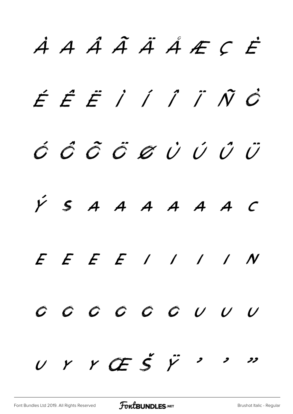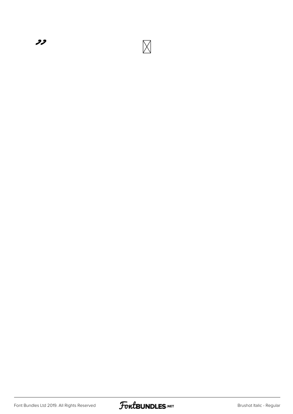$\overline{\mathcal{Z}}$ 



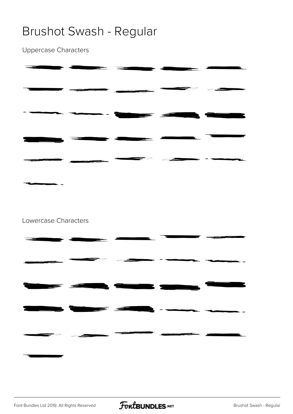#### Brushot Swash - Regular

Uppercase Characters

| Lowercase Characters                                                                                                                                                                                                                 |  |                                                                                                                                                                                                                                      |
|--------------------------------------------------------------------------------------------------------------------------------------------------------------------------------------------------------------------------------------|--|--------------------------------------------------------------------------------------------------------------------------------------------------------------------------------------------------------------------------------------|
|                                                                                                                                                                                                                                      |  |                                                                                                                                                                                                                                      |
|                                                                                                                                                                                                                                      |  |                                                                                                                                                                                                                                      |
|                                                                                                                                                                                                                                      |  | <u>the state of the state of the state of the state of the state of the state of the state of the state of the state of the state of the state of the state of the state of the state of the state of the state of the state of </u> |
|                                                                                                                                                                                                                                      |  | The Contract of the Contract of the Contract of the Contract of the Contract of the Contract of the Contract of                                                                                                                      |
|                                                                                                                                                                                                                                      |  |                                                                                                                                                                                                                                      |
| <u>the community of the community of the community of the community of the community of the community of the community of the community of the community of the community of the community of the community of the community of </u> |  |                                                                                                                                                                                                                                      |
|                                                                                                                                                                                                                                      |  |                                                                                                                                                                                                                                      |

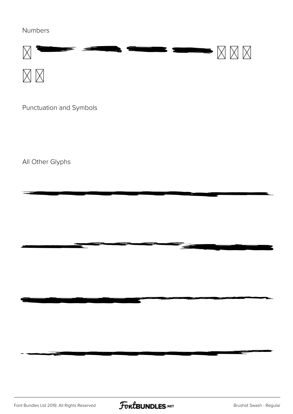#### Numbers





Punctuation and Symbols